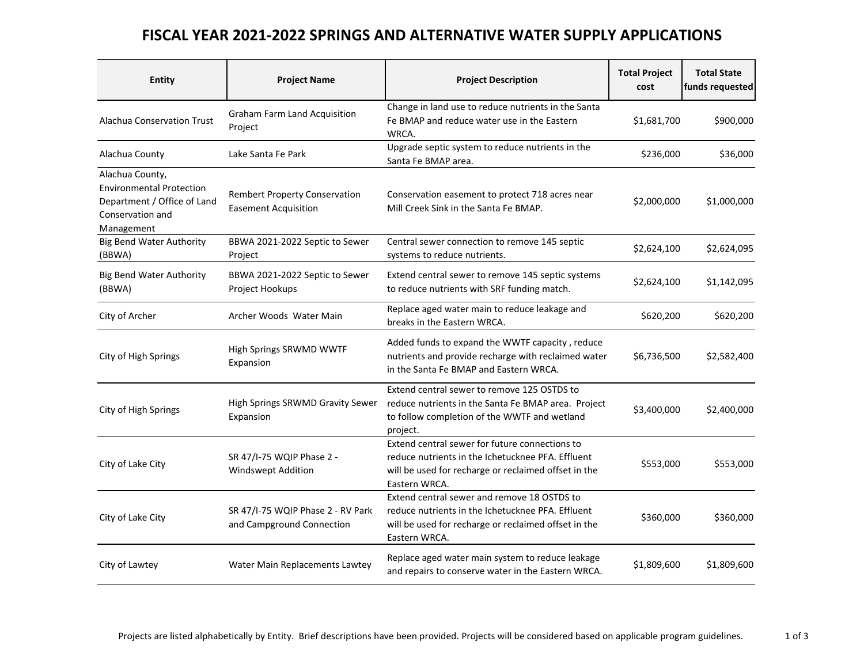## FISCAL YEAR 2021-2022 SPRINGS AND ALTERNATIVE WATER SUPPLY APPLICATIONS

| Entity                                                                                                              | <b>Project Name</b>                                                 | <b>Project Description</b>                                                                                                                                                    | <b>Total Project</b><br>cost | <b>Total State</b><br>funds requested |
|---------------------------------------------------------------------------------------------------------------------|---------------------------------------------------------------------|-------------------------------------------------------------------------------------------------------------------------------------------------------------------------------|------------------------------|---------------------------------------|
| <b>Alachua Conservation Trust</b>                                                                                   | <b>Graham Farm Land Acquisition</b><br>Project                      | Change in land use to reduce nutrients in the Santa<br>Fe BMAP and reduce water use in the Eastern<br>WRCA.                                                                   | \$1,681,700                  | \$900,000                             |
| Alachua County                                                                                                      | Lake Santa Fe Park                                                  | Upgrade septic system to reduce nutrients in the<br>Santa Fe BMAP area.                                                                                                       | \$236,000                    | \$36,000                              |
| Alachua County,<br><b>Environmental Protection</b><br>Department / Office of Land<br>Conservation and<br>Management | <b>Rembert Property Conservation</b><br><b>Easement Acquisition</b> | Conservation easement to protect 718 acres near<br>\$2,000,000<br>Mill Creek Sink in the Santa Fe BMAP.                                                                       |                              | \$1,000,000                           |
| <b>Big Bend Water Authority</b><br>(BBWA)                                                                           | BBWA 2021-2022 Septic to Sewer<br>Project                           | Central sewer connection to remove 145 septic<br>systems to reduce nutrients.                                                                                                 | \$2,624,100                  | \$2,624,095                           |
| <b>Big Bend Water Authority</b><br>(BBWA)                                                                           | BBWA 2021-2022 Septic to Sewer<br>Project Hookups                   | Extend central sewer to remove 145 septic systems<br>to reduce nutrients with SRF funding match.                                                                              | \$2,624,100                  | \$1,142,095                           |
| City of Archer                                                                                                      | Archer Woods Water Main                                             | Replace aged water main to reduce leakage and<br>breaks in the Eastern WRCA.                                                                                                  | \$620,200                    | \$620,200                             |
| City of High Springs                                                                                                | High Springs SRWMD WWTF<br>Expansion                                | Added funds to expand the WWTF capacity, reduce<br>nutrients and provide recharge with reclaimed water<br>in the Santa Fe BMAP and Eastern WRCA.                              | \$6,736,500                  | \$2,582,400                           |
| City of High Springs                                                                                                | High Springs SRWMD Gravity Sewer<br>Expansion                       | Extend central sewer to remove 125 OSTDS to<br>reduce nutrients in the Santa Fe BMAP area. Project<br>\$3,400,000<br>to follow completion of the WWTF and wetland<br>project. |                              | \$2,400,000                           |
| City of Lake City                                                                                                   | SR 47/I-75 WQIP Phase 2 -<br><b>Windswept Addition</b>              | Extend central sewer for future connections to<br>reduce nutrients in the Ichetucknee PFA. Effluent<br>will be used for recharge or reclaimed offset in the<br>Eastern WRCA.  | \$553,000                    | \$553,000                             |
| City of Lake City                                                                                                   | SR 47/I-75 WQIP Phase 2 - RV Park<br>and Campground Connection      | Extend central sewer and remove 18 OSTDS to<br>reduce nutrients in the Ichetucknee PFA. Effluent<br>will be used for recharge or reclaimed offset in the<br>Eastern WRCA.     | \$360,000                    | \$360,000                             |
| City of Lawtey                                                                                                      | Water Main Replacements Lawtey                                      | Replace aged water main system to reduce leakage<br>and repairs to conserve water in the Eastern WRCA.                                                                        | \$1,809,600                  | \$1,809,600                           |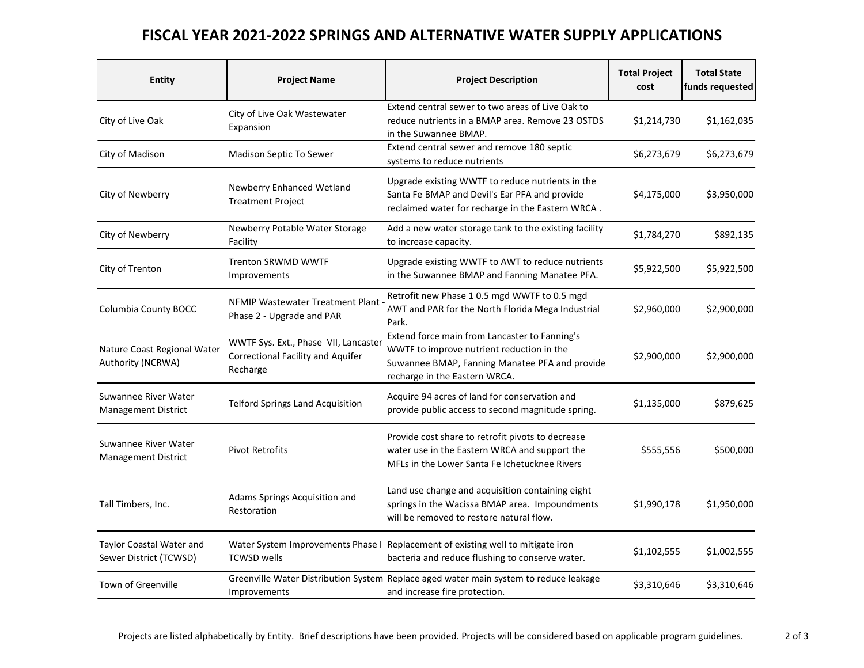## FISCAL YEAR 2021-2022 SPRINGS AND ALTERNATIVE WATER SUPPLY APPLICATIONS

| <b>Entity</b>                                      | <b>Project Name</b>                                                                          | <b>Project Description</b>                                                                                                                                                    | <b>Total Project</b><br>cost | <b>Total State</b><br>funds requested |
|----------------------------------------------------|----------------------------------------------------------------------------------------------|-------------------------------------------------------------------------------------------------------------------------------------------------------------------------------|------------------------------|---------------------------------------|
| City of Live Oak                                   | City of Live Oak Wastewater<br>Expansion                                                     | Extend central sewer to two areas of Live Oak to<br>reduce nutrients in a BMAP area. Remove 23 OSTDS<br>in the Suwannee BMAP.                                                 | \$1,214,730                  | \$1,162,035                           |
| City of Madison                                    | Madison Septic To Sewer                                                                      | Extend central sewer and remove 180 septic<br>systems to reduce nutrients                                                                                                     | \$6,273,679                  | \$6,273,679                           |
| City of Newberry                                   | Newberry Enhanced Wetland<br><b>Treatment Project</b>                                        | Upgrade existing WWTF to reduce nutrients in the<br>Santa Fe BMAP and Devil's Ear PFA and provide<br>reclaimed water for recharge in the Eastern WRCA.                        | \$4,175,000                  | \$3,950,000                           |
| City of Newberry                                   | Newberry Potable Water Storage<br>Facility                                                   | Add a new water storage tank to the existing facility<br>to increase capacity.                                                                                                | \$1,784,270                  | \$892,135                             |
| City of Trenton                                    | <b>Trenton SRWMD WWTF</b><br>Improvements                                                    | Upgrade existing WWTF to AWT to reduce nutrients<br>in the Suwannee BMAP and Fanning Manatee PFA.                                                                             | \$5,922,500                  | \$5,922,500                           |
| Columbia County BOCC                               | <b>NFMIP Wastewater Treatment Plant</b><br>Phase 2 - Upgrade and PAR                         | Retrofit new Phase 1 0.5 mgd WWTF to 0.5 mgd<br>AWT and PAR for the North Florida Mega Industrial<br>Park.                                                                    | \$2,960,000                  | \$2,900,000                           |
| Nature Coast Regional Water<br>Authority (NCRWA)   | WWTF Sys. Ext., Phase VII, Lancaster<br><b>Correctional Facility and Aquifer</b><br>Recharge | Extend force main from Lancaster to Fanning's<br>WWTF to improve nutrient reduction in the<br>Suwannee BMAP, Fanning Manatee PFA and provide<br>recharge in the Eastern WRCA. | \$2,900,000                  | \$2,900,000                           |
| Suwannee River Water<br><b>Management District</b> | <b>Telford Springs Land Acquisition</b>                                                      | Acquire 94 acres of land for conservation and<br>provide public access to second magnitude spring.                                                                            | \$1,135,000                  | \$879,625                             |
| Suwannee River Water<br><b>Management District</b> | <b>Pivot Retrofits</b>                                                                       | Provide cost share to retrofit pivots to decrease<br>water use in the Eastern WRCA and support the<br>MFLs in the Lower Santa Fe Ichetucknee Rivers                           | \$555,556                    | \$500,000                             |
| Tall Timbers, Inc.                                 | Adams Springs Acquisition and<br>Restoration                                                 | Land use change and acquisition containing eight<br>springs in the Wacissa BMAP area. Impoundments<br>will be removed to restore natural flow.                                | \$1,990,178                  | \$1,950,000                           |
| Taylor Coastal Water and<br>Sewer District (TCWSD) | <b>TCWSD wells</b>                                                                           | Water System Improvements Phase I Replacement of existing well to mitigate iron<br>bacteria and reduce flushing to conserve water.                                            | \$1,102,555                  | \$1,002,555                           |
| <b>Town of Greenville</b>                          | Improvements                                                                                 | Greenville Water Distribution System Replace aged water main system to reduce leakage<br>and increase fire protection.                                                        | \$3,310,646                  | \$3,310,646                           |